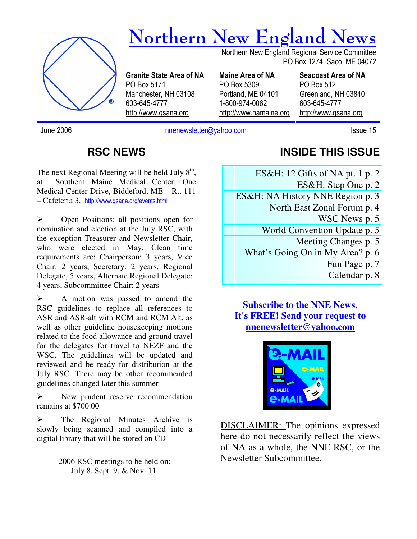

June 2006 **nnenewsletter@yahoo.com** Issue 15

#### **RSC NEWS**

The next Regional Meeting will be held July  $8<sup>th</sup>$ , at Southern Maine Medical Center, One Medical Center Drive, Biddeford, ME – Rt. 111 – Cafeteria 3. http://www.gsana.org/events.html

 Open Positions: all positions open for nomination and election at the July RSC, with the exception Treasurer and Newsletter Chair, who were elected in May. Clean time requirements are: Chairperson: 3 years, Vice Chair: 2 years, Secretary: 2 years, Regional Delegate, 5 years, Alternate Regional Delegate: 4 years, Subcommittee Chair: 2 years

 $\triangleright$  A motion was passed to amend the RSC guidelines to replace all references to ASR and ASR-alt with RCM and RCM Alt, as well as other guideline housekeeping motions related to the food allowance and ground travel for the delegates for travel to NEZF and the WSC. The guidelines will be updated and reviewed and be ready for distribution at the July RSC. There may be other recommended guidelines changed later this summer

 $\triangleright$  New prudent reserve recommendation remains at \$700.00

 $\triangleright$  The Regional Minutes Archive is slowly being scanned and compiled into a digital library that will be stored on CD

> 2006 RSC meetings to be held on: July 8, Sept. 9, & Nov. 11.

#### **INSIDE THIS ISSUE**

ES&H: 12 Gifts of NA pt. 1 p. 2 ES&H: Step One p. 2 ES&H: NA History NNE Region p. 3 North East Zonal Forum p. 4 WSC News p. 5 World Convention Update p. 5 Meeting Changes p. 5

What's Going On in My Area? p. 6

Fun Page p. 7

Calendar p. 8

**Subscribe to the NNE News, It's FREE! Send your request to nnenewsletter@yahoo.com**



DISCLAIMER: The opinions expressed here do not necessarily reflect the views of NA as a whole, the NNE RSC, or the Newsletter Subcommittee.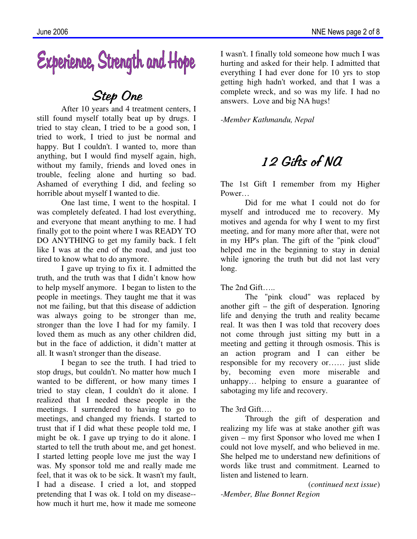# Experience, Strength and Hope

## Step One

After 10 years and 4 treatment centers, I still found myself totally beat up by drugs. I tried to stay clean, I tried to be a good son, I tried to work, I tried to just be normal and happy. But I couldn't. I wanted to, more than anything, but I would find myself again, high, without my family, friends and loved ones in trouble, feeling alone and hurting so bad. Ashamed of everything I did, and feeling so horrible about myself I wanted to die.

One last time, I went to the hospital. I was completely defeated. I had lost everything, and everyone that meant anything to me. I had finally got to the point where I was READY TO DO ANYTHING to get my family back. I felt like I was at the end of the road, and just too tired to know what to do anymore.

I gave up trying to fix it. I admitted the truth, and the truth was that I didn't know how to help myself anymore. I began to listen to the people in meetings. They taught me that it was not me failing, but that this disease of addiction was always going to be stronger than me, stronger than the love I had for my family. I loved them as much as any other children did, but in the face of addiction, it didn't matter at all. It wasn't stronger than the disease.

I began to see the truth. I had tried to stop drugs, but couldn't. No matter how much I wanted to be different, or how many times I tried to stay clean, I couldn't do it alone. I realized that I needed these people in the meetings. I surrendered to having to go to meetings, and changed my friends. I started to trust that if I did what these people told me, I might be ok. I gave up trying to do it alone. I started to tell the truth about me, and get honest. I started letting people love me just the way I was. My sponsor told me and really made me feel, that it was ok to be sick. It wasn't my fault, I had a disease. I cried a lot, and stopped pretending that I was ok. I told on my disease- how much it hurt me, how it made me someone I wasn't. I finally told someone how much I was hurting and asked for their help. I admitted that everything I had ever done for 10 yrs to stop getting high hadn't worked, and that I was a complete wreck, and so was my life. I had no answers. Love and big NA hugs!

*-Member Kathmandu, Nepal* 

## 12 Gifts of NA

The 1st Gift I remember from my Higher Power…

Did for me what I could not do for myself and introduced me to recovery. My motives and agenda for why I went to my first meeting, and for many more after that, were not in my HP's plan. The gift of the "pink cloud" helped me in the beginning to stay in denial while ignoring the truth but did not last very long.

The 2nd Gift…..

The "pink cloud" was replaced by another gift – the gift of desperation. Ignoring life and denying the truth and reality became real. It was then I was told that recovery does not come through just sitting my butt in a meeting and getting it through osmosis. This is an action program and I can either be responsible for my recovery or…… just slide by, becoming even more miserable and unhappy… helping to ensure a guarantee of sabotaging my life and recovery.

#### The 3rd Gift….

Through the gift of desperation and realizing my life was at stake another gift was given – my first Sponsor who loved me when I could not love myself, and who believed in me. She helped me to understand new definitions of words like trust and commitment. Learned to listen and listened to learn.

(*continued next issue*)

*-Member, Blue Bonnet Region*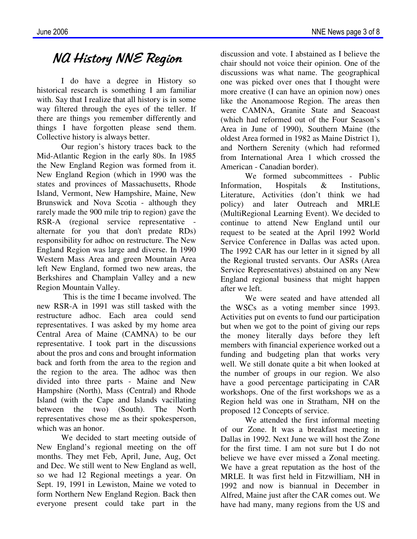## NA History NNE Region

 I do have a degree in History so historical research is something I am familiar with. Say that I realize that all history is in some way filtered through the eyes of the teller. If there are things you remember differently and things I have forgotten please send them. Collective history is always better.

 Our region's history traces back to the Mid-Atlantic Region in the early 80s. In 1985 the New England Region was formed from it. New England Region (which in 1990 was the states and provinces of Massachusetts, Rhode Island, Vermont, New Hampshire, Maine, New Brunswick and Nova Scotia - although they rarely made the 900 mile trip to region) gave the RSR-A (regional service representative alternate for you that don't predate RDs) responsibility for adhoc on restructure. The New England Region was large and diverse. In 1990 Western Mass Area and green Mountain Area left New England, formed two new areas, the Berkshires and Champlain Valley and a new Region Mountain Valley.

 This is the time I became involved. The new RSR-A in 1991 was still tasked with the restructure adhoc. Each area could send representatives. I was asked by my home area Central Area of Maine (CAMNA) to be our representative. I took part in the discussions about the pros and cons and brought information back and forth from the area to the region and the region to the area. The adhoc was then divided into three parts - Maine and New Hampshire (North), Mass (Central) and Rhode Island (with the Cape and Islands vacillating between the two) (South). The North representatives chose me as their spokesperson, which was an honor.

 We decided to start meeting outside of New England's regional meeting on the off months. They met Feb, April, June, Aug, Oct and Dec. We still went to New England as well, so we had 12 Regional meetings a year. On Sept. 19, 1991 in Lewiston, Maine we voted to form Northern New England Region. Back then everyone present could take part in the

discussion and vote. I abstained as I believe the chair should not voice their opinion. One of the discussions was what name. The geographical one was picked over ones that I thought were more creative (I can have an opinion now) ones like the Anonamoose Region. The areas then were CAMNA, Granite State and Seacoast (which had reformed out of the Four Season's Area in June of 1990), Southern Maine (the oldest Area formed in 1982 as Maine District 1), and Northern Serenity (which had reformed from International Area 1 which crossed the American - Canadian border).

We formed subcommittees - Public Information, Hospitals & Institutions, Literature, Activities (don't think we had policy) and later Outreach and MRLE (MultiRegional Learning Event). We decided to continue to attend New England until our request to be seated at the April 1992 World Service Conference in Dallas was acted upon. The 1992 CAR has our letter in it signed by all the Regional trusted servants. Our ASRs (Area Service Representatives) abstained on any New England regional business that might happen after we left.

 We were seated and have attended all the WSCs as a voting member since 1993. Activities put on events to fund our participation but when we got to the point of giving our reps the money literally days before they left members with financial experience worked out a funding and budgeting plan that works very well. We still donate quite a bit when looked at the number of groups in our region. We also have a good percentage participating in CAR workshops. One of the first workshops we as a Region held was one in Stratham, NH on the proposed 12 Concepts of service.

 We attended the first informal meeting of our Zone. It was a breakfast meeting in Dallas in 1992. Next June we will host the Zone for the first time. I am not sure but I do not believe we have ever missed a Zonal meeting. We have a great reputation as the host of the MRLE. It was first held in Fitzwilliam, NH in 1992 and now is biannual in December in Alfred, Maine just after the CAR comes out. We have had many, many regions from the US and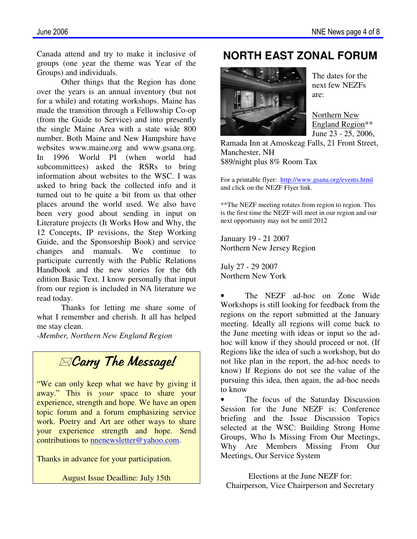Canada attend and try to make it inclusive of groups (one year the theme was Year of the Groups) and individuals.

 Other things that the Region has done over the years is an annual inventory (but not for a while) and rotating workshops. Maine has made the transition through a Fellowship Co-op (from the Guide to Service) and into presently the single Maine Area with a state wide 800 number. Both Maine and New Hampshire have websites www.maine.org and www.gsana.org. In 1996 World PI (when world had subcommittees) asked the RSRs to bring information about websites to the WSC. I was asked to bring back the collected info and it turned out to be quite a bit from us that other places around the world used. We also have been very good about sending in input on Literature projects (It Works How and Why, the 12 Concepts, IP revisions, the Step Working Guide, and the Sponsorship Book) and service changes and manuals. We continue to participate currently with the Public Relations Handbook and the new stories for the 6th edition Basic Text. I know personally that input from our region is included in NA literature we read today.

 Thanks for letting me share some of what I remember and cherish. It all has helped me stay clean.

*-Member, Northern New England Region*

## **ExCarry The Message!**

"We can only keep what we have by giving it away." This is *your* space to share your experience, strength and hope. We have an open topic forum and a forum emphasizing service work. Poetry and Art are other ways to share your experience strength and hope. Send contributions to nnenewsletter@yahoo.com.

Thanks in advance for your participation.

August Issue Deadline: July 15th

### **NORTH EAST ZONAL FORUM**



The dates for the next few NEZFs are:

Northern New England Region\*\* June 23 - 25, 2006,

Ramada Inn at Amoskeag Falls, 21 Front Street, Manchester, NH \$89/night plus 8% Room Tax

For a printable flyer: http://www.gsana.org/events.html and click on the NEZF Flyer link.

\*\*The NEZF meeting rotates from region to region. This is the first time the NEZF will meet in our region and our next opportunity may not be until 2012

January 19 - 21 2007 Northern New Jersey Region

July 27 - 29 2007 Northern New York

The NEZF ad-hoc on Zone Wide Workshops is still looking for feedback from the regions on the report submitted at the January meeting. Ideally all regions will come back to the June meeting with ideas or input so the adhoc will know if they should proceed or not. (If Regions like the idea of such a workshop, but do not like plan in the report, the ad-hoc needs to know) If Regions do not see the value of the pursuing this idea, then again, the ad-hoc needs to know

The focus of the Saturday Discussion Session for the June NEZF is: Conference briefing and the Issue Discussion Topics selected at the WSC: Building Strong Home Groups, Who Is Missing From Our Meetings, Why Are Members Missing From Our Meetings, Our Service System

Elections at the June NEZF for: Chairperson, Vice Chairperson and Secretary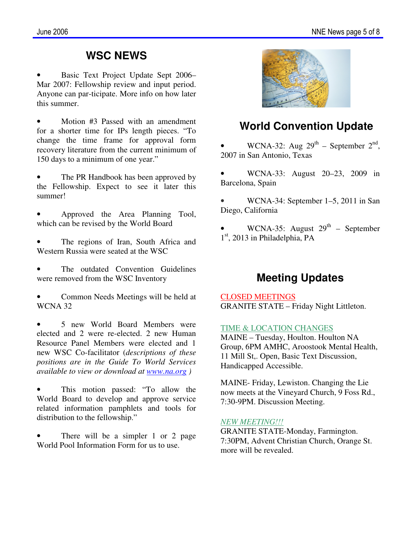#### **WSC NEWS**

• Basic Text Project Update Sept 2006– Mar 2007: Fellowship review and input period. Anyone can par-ticipate. More info on how later this summer.

Motion #3 Passed with an amendment for a shorter time for IPs length pieces. "To change the time frame for approval form recovery literature from the current minimum of 150 days to a minimum of one year."

The PR Handbook has been approved by the Fellowship. Expect to see it later this summer!

• Approved the Area Planning Tool, which can be revised by the World Board

The regions of Iran, South Africa and Western Russia were seated at the WSC

The outdated Convention Guidelines were removed from the WSC Inventory

• Common Needs Meetings will be held at WCNA 32

5 new World Board Members were elected and 2 were re-elected. 2 new Human Resource Panel Members were elected and 1 new WSC Co-facilitator (*descriptions of these positions are in the Guide To World Services available to view or download at www.na.org )*

This motion passed: "To allow the World Board to develop and approve service related information pamphlets and tools for distribution to the fellowship."

There will be a simpler 1 or 2 page World Pool Information Form for us to use.



### **World Convention Update**

• WCNA-32: Aug  $29^{th}$  – September  $2^{nd}$ , 2007 in San Antonio, Texas

• WCNA-33: August 20–23, 2009 in Barcelona, Spain

• WCNA-34: September 1–5, 2011 in San Diego, California

WCNA-35: August  $29<sup>th</sup>$  – September 1<sup>st</sup>, 2013 in Philadelphia, PA

#### **Meeting Updates**

CLOSED MEETINGS GRANITE STATE – Friday Night Littleton.

#### TIME & LOCATION CHANGES

MAINE – Tuesday, Houlton. Houlton NA Group, 6PM AMHC, Aroostook Mental Health, 11 Mill St,. Open, Basic Text Discussion, Handicapped Accessible.

MAINE- Friday, Lewiston. Changing the Lie now meets at the Vineyard Church, 9 Foss Rd., 7:30-9PM. Discussion Meeting.

#### *NEW MEETING!!!*

GRANITE STATE-Monday, Farmington. 7:30PM, Advent Christian Church, Orange St. more will be revealed.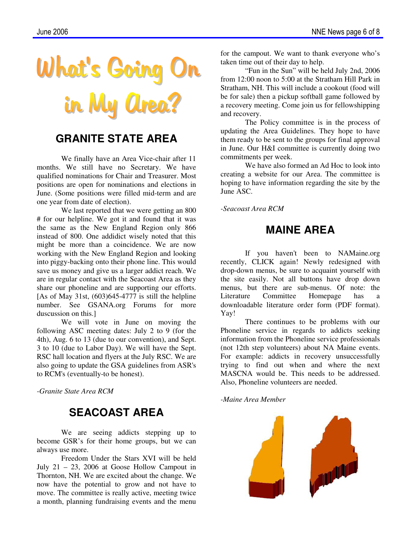

#### **GRANITE STATE AREA**

 We finally have an Area Vice-chair after 11 months. We still have no Secretary. We have qualified nominations for Chair and Treasurer. Most positions are open for nominations and elections in June. (Some positions were filled mid-term and are one year from date of election).

We last reported that we were getting an 800 # for our helpline. We got it and found that it was the same as the New England Region only 866 instead of 800. One addidict wisely noted that this might be more than a coincidence. We are now working with the New England Region and looking into piggy-backing onto their phone line. This would save us money and give us a larger addict reach. We are in regular contact with the Seacoast Area as they share our phoneline and are supporting our efforts. [As of May 31st,  $(603)645-4777$  is still the helpline number. See GSANA.org Forums for more duscussion on this.]

 We will vote in June on moving the following ASC meeting dates: July 2 to 9 (for the 4th), Aug. 6 to 13 (due to our convention), and Sept. 3 to 10 (due to Labor Day). We will have the Sept. RSC hall location and flyers at the July RSC. We are also going to update the GSA guidelines from ASR's to RCM's (eventually-to be honest).

*-Granite State Area RCM* 

#### **SEACOAST AREA**

We are seeing addicts stepping up to become GSR's for their home groups, but we can always use more.

Freedom Under the Stars XVI will be held July 21 – 23, 2006 at Goose Hollow Campout in Thornton, NH. We are excited about the change. We now have the potential to grow and not have to move. The committee is really active, meeting twice a month, planning fundraising events and the menu

for the campout. We want to thank everyone who's taken time out of their day to help.

"Fun in the Sun" will be held July 2nd, 2006 from 12:00 noon to 5:00 at the Stratham Hill Park in Stratham, NH. This will include a cookout (food will be for sale) then a pickup softball game followed by a recovery meeting. Come join us for fellowshipping and recovery.

 The Policy committee is in the process of updating the Area Guidelines. They hope to have them ready to be sent to the groups for final approval in June. Our H&I committee is currently doing two commitments per week.

 We have also formed an Ad Hoc to look into creating a website for our Area. The committee is hoping to have information regarding the site by the June ASC.

*-Seacoast Area RCM*

#### **MAINE AREA**

If you haven't been to NAMaine.org recently, CLICK again! Newly redesigned with drop-down menus, be sure to acquaint yourself with the site easily. Not all buttons have drop down menus, but there are sub-menus. Of note: the Literature Committee Homepage has a downloadable literature order form (PDF format). Yay!

There continues to be problems with our Phoneline service in regards to addicts seeking information from the Phoneline service professionals (not 12th step volunteers) about NA Maine events. For example: addicts in recovery unsuccessfully trying to find out when and where the next MASCNA would be. This needs to be addressed. Also, Phoneline volunteers are needed.

*-Maine Area Member* 

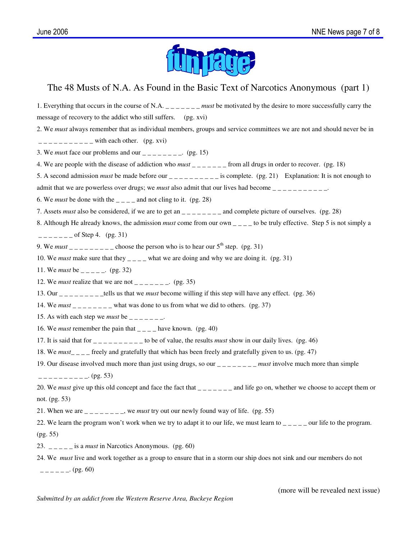

#### The 48 Musts of N.A. As Found in the Basic Text of Narcotics Anonymous (part 1)

1. Everything that occurs in the course of N.A. <u>must</u> be motivated by the desire to more successfully carry the message of recovery to the addict who still suffers. (pg. xvi) 2. We *must* always remember that as individual members, groups and service committees we are not and should never be in  $------$  with each other. (pg. xvi) 3. We *must* face our problems and our  $\frac{1}{2}$  =  $\frac{1}{2}$  =  $\frac{1}{2}$  (pg. 15) 4. We are people with the disease of addiction who *must* \_\_\_\_\_\_ from all drugs in order to recover. (pg. 18) 5. A second admission *must* be made before our  $\frac{1}{2}$  =  $\frac{1}{2}$  =  $\frac{1}{2}$  is complete. (pg. 21) Explanation: It is not enough to admit that we are powerless over drugs; we *must* also admit that our lives had become  $\frac{1}{1}$ 6. We *must* be done with the  $\frac{1}{2}$  and not cling to it. (pg. 28) 7. Assets *must* also be considered, if we are to get an  $\frac{1}{2}$   $\frac{1}{2}$  and complete picture of ourselves. (pg. 28) 8. Although He already knows, the admission *must* come from our own \_\_\_\_ to be truly effective. Step 5 is not simply a  $\frac{1}{2}$  =  $\frac{1}{2}$  =  $\frac{1}{2}$  of Step 4. (pg. 31) 9. We *must*  $\frac{1}{2}$  \_\_\_\_\_\_\_\_ choose the person who is to hear our  $5^{\text{th}}$  step. (pg. 31) 10. We *must* make sure that they  $\frac{1}{2}$  what we are doing and why we are doing it. (pg. 31) 11. We *must* be  $\frac{1}{2}$  =  $\frac{1}{2}$  (pg. 32) 12. We *must* realize that we are not  $\qquad \qquad$  . (pg. 35) 13. Our \_ \_ \_ \_ \_ \_ \_ \_ \_tells us that we *must* become willing if this step will have any effect. (pg. 36) 14. We *must*  $\frac{1}{2}$  \_\_\_\_\_\_ what was done to us from what we did to others. (pg. 37) 15. As with each step we *must* be  $\frac{1}{1-2}$  =  $\frac{1}{1-2}$ . 16. We *must* remember the pain that  $\frac{1}{2}$  –  $\frac{1}{2}$  have known. (pg. 40) 17. It is said that for  $\frac{1}{2}$   $\frac{1}{2}$   $\frac{1}{2}$   $\frac{1}{2}$  to be of value, the results *must* show in our daily lives. (pg. 46) 18. We *must*\_ \_ \_ \_ freely and gratefully that which has been freely and gratefully given to us. (pg. 47) 19. Our disease involved much more than just using drugs, so our  $\frac{1}{2} - \frac{1}{2} - \frac{1}{2} - \frac{1}{2}$  *must* involve much more than simple  $------ (pg. 53)$ 20. We *must* give up this old concept and face the fact that  $\frac{1}{2} - \frac{1}{2} - \frac{1}{2}$  and life go on, whether we choose to accept them or not. (pg. 53) 21. When we are  $\frac{1}{2}$   $\frac{1}{2}$   $\frac{1}{2}$  we *must* try out our newly found way of life. (pg. 55) 22. We learn the program won't work when we try to adapt it to our life, we must learn to  $\frac{1}{2}$   $\frac{1}{2}$  our life to the program. (pg. 55) 23.  $\frac{1}{2}$  =  $\frac{1}{2}$  =  $\frac{1}{2}$  is a *must* in Narcotics Anonymous. (pg. 60) 24. We *must* live and work together as a group to ensure that in a storm our ship does not sink and our members do not  $---(pg. 60)$ 

(more will be revealed next issue)